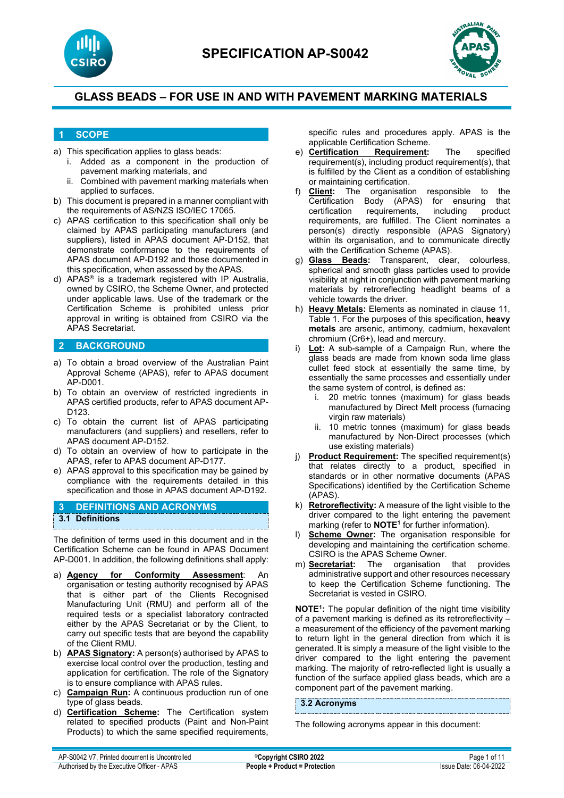



### **1 SCOPE**

- a) This specification applies to glass beads:
	- i. Added as a component in the production of pavement marking materials, and
	- ii. Combined with pavement marking materials when applied to surfaces.
- b) This document is prepared in a manner compliant with the requirements of AS/NZS ISO/IEC 17065.
- c) APAS certification to this specification shall only be claimed by APAS participating manufacturers (and suppliers), listed in APAS document AP-D152, that demonstrate conformance to the requirements of APAS document AP-D192 and those documented in this specification, when assessed by the APAS.
- d) APAS® is a trademark registered with IP Australia, owned by CSIRO, the Scheme Owner, and protected under applicable laws. Use of the trademark or the Certification Scheme is prohibited unless prior approval in writing is obtained from CSIRO via the APAS Secretariat.

# **2 BACKGROUND**

- a) To obtain a broad overview of the Australian Paint Approval Scheme (APAS), refer to APAS document AP-D001.
- b) To obtain an overview of restricted ingredients in APAS certified products, refer to APAS document AP-D<sub>123</sub>
- c) To obtain the current list of APAS participating manufacturers (and suppliers) and resellers, refer to APAS document AP-D152.
- d) To obtain an overview of how to participate in the APAS, refer to APAS document AP-D177.
- e) APAS approval to this specification may be gained by compliance with the requirements detailed in this specification and those in APAS document AP-D192.

### **3 DEFINITIONS AND ACRONYMS 3.1 Definitions**

The definition of terms used in this document and in the Certification Scheme can be found in APAS Document AP-D001. In addition, the following definitions shall apply:

- a) **Agency for Conformity Assessment**: An organisation or testing authority recognised by APAS that is either part of the Clients Recognised Manufacturing Unit (RMU) and perform all of the required tests or a specialist laboratory contracted either by the APAS Secretariat or by the Client, to carry out specific tests that are beyond the capability of the Client RMU.
- b) **APAS Signatory:** A person(s) authorised by APAS to exercise local control over the production, testing and application for certification. The role of the Signatory is to ensure compliance with APAS rules.
- c) **Campaign Run:** A continuous production run of one type of glass beads.
- d) **Certification Scheme:** The Certification system related to specified products (Paint and Non-Paint Products) to which the same specified requirements,

specific rules and procedures apply. APAS is the applicable Certification Scheme.<br> **Certification Requirement:** 

- e) **Certification Requirement:** The specified requirement(s), including product requirement(s), that is fulfilled by the Client as a condition of establishing or maintaining certification.
- f) **Client:** The organisation responsible to the Certification Body (APAS) for ensuring that<br>certification requirements, including product requirements, requirements, are fulfilled. The Client nominates a person(s) directly responsible (APAS Signatory) within its organisation, and to communicate directly with the Certification Scheme (APAS).<br>g) **Glass Beads:** Transparent, clea
- Transparent, clear, colourless, spherical and smooth glass particles used to provide visibility at night in conjunction with pavement marking materials by retroreflecting headlight beams of a vehicle towards the driver.
- h) **Heavy Metals:** Elements as nominated in clause 11, Table 1. For the purposes of this specification, **heavy metals** are arsenic, antimony, cadmium, hexavalent chromium (Cr6+), lead and mercury.
- i) **Lot:** A sub-sample of a Campaign Run, where the glass beads are made from known soda lime glass cullet feed stock at essentially the same time, by essentially the same processes and essentially under the same system of control, is defined as:
	- i. 20 metric tonnes (maximum) for glass beads manufactured by Direct Melt process (furnacing virgin raw materials)
	- ii. 10 metric tonnes (maximum) for glass beads manufactured by Non-Direct processes (which use existing materials)
- j) **Product Requirement:** The specified requirement(s) that relates directly to a product, specified in standards or in other normative documents (APAS Specifications) identified by the Certification Scheme (APAS).
- k) **Retroreflectivity:** A measure of the light visible to the driver compared to the light entering the pavement marking (refer to **NOTE1** for further information).
- l) **Scheme Owner:** The organisation responsible for developing and maintaining the certification scheme. CSIRO is the APAS Scheme Owner.
- m) **Secretariat:** The organisation that provides administrative support and other resources necessary to keep the Certification Scheme functioning. The Secretariat is vested in CSIRO.

**NOTE<sup>1</sup>:** The popular definition of the night time visibility of a pavement marking is defined as its retroreflectivity – a measurement of the efficiency of the pavement marking to return light in the general direction from which it is generated. It is simply a measure of the light visible to the driver compared to the light entering the pavement marking. The majority of retro-reflected light is usually a function of the surface applied glass beads, which are a component part of the pavement marking.

### **3.2 Acronyms**

The following acronyms appear in this document: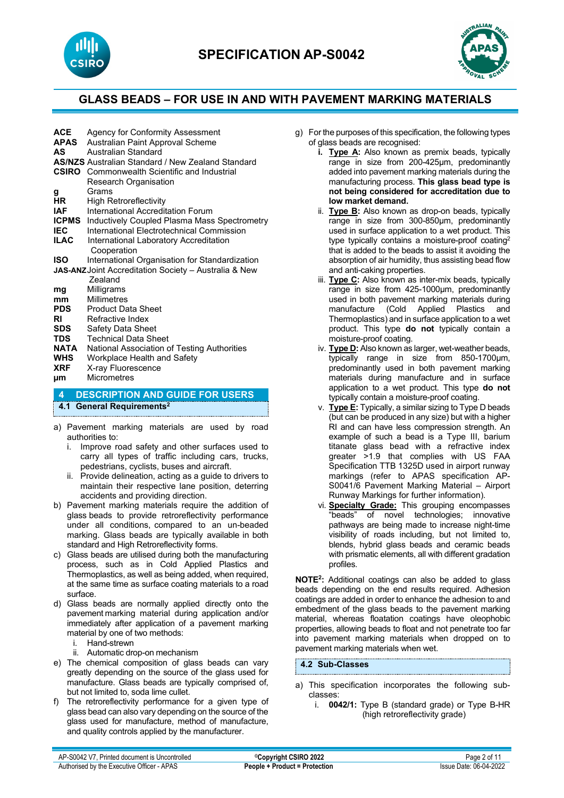



| <b>ACE</b>                                                       | Agency for Conformity Assessment                         |  |  |  |
|------------------------------------------------------------------|----------------------------------------------------------|--|--|--|
| <b>APAS</b>                                                      | Australian Paint Approval Scheme                         |  |  |  |
| AS                                                               | Australian Standard                                      |  |  |  |
|                                                                  | <b>AS/NZS</b> Australian Standard / New Zealand Standard |  |  |  |
|                                                                  | <b>CSIRO</b> Commonwealth Scientific and Industrial      |  |  |  |
|                                                                  | Research Organisation                                    |  |  |  |
| g                                                                | Grams                                                    |  |  |  |
| <b>HR</b>                                                        | <b>High Retroreflectivity</b>                            |  |  |  |
| <b>IAF</b>                                                       | International Accreditation Forum                        |  |  |  |
| <b>ICPMS</b>                                                     | Inductively Coupled Plasma Mass Spectrometry             |  |  |  |
| <b>IEC</b>                                                       | International Flectrotechnical Commission                |  |  |  |
| <b>ILAC</b>                                                      | International Laboratory Accreditation                   |  |  |  |
|                                                                  | Cooperation                                              |  |  |  |
| ISO.                                                             | International Organisation for Standardization           |  |  |  |
| <b>JAS-ANZ Joint Accreditation Society - Australia &amp; New</b> |                                                          |  |  |  |
|                                                                  | <b>Zealand</b>                                           |  |  |  |
| mg                                                               | Milligrams                                               |  |  |  |
| mm                                                               | Millimetres                                              |  |  |  |
| <b>PDS</b>                                                       | <b>Product Data Sheet</b>                                |  |  |  |
| RI                                                               | Refractive Index                                         |  |  |  |
| SDS.                                                             | Safety Data Sheet                                        |  |  |  |
| <b>TDS</b>                                                       | <b>Technical Data Sheet</b>                              |  |  |  |
| NATA                                                             | National Association of Testing Authorities              |  |  |  |
| <b>WHS</b>                                                       | Workplace Health and Safety                              |  |  |  |
| <b>XRF</b>                                                       | X-ray Fluorescence                                       |  |  |  |
| μm                                                               | <b>Micrometres</b>                                       |  |  |  |
|                                                                  |                                                          |  |  |  |

**4 DESCRIPTION AND GUIDE FOR USERS**

# **4.1 General Requirements2**

- a) Pavement marking materials are used by road authorities to:
	- i. Improve road safety and other surfaces used to carry all types of traffic including cars, trucks, pedestrians, cyclists, buses and aircraft.
	- ii. Provide delineation, acting as a guide to drivers to maintain their respective lane position, deterring accidents and providing direction.
- b) Pavement marking materials require the addition of glass beads to provide retroreflectivity performance under all conditions, compared to an un-beaded marking. Glass beads are typically available in both standard and High Retroreflectivity forms.
- c) Glass beads are utilised during both the manufacturing process, such as in Cold Applied Plastics and Thermoplastics, as well as being added, when required, at the same time as surface coating materials to a road surface.
- d) Glass beads are normally applied directly onto the pavement marking material during application and/or immediately after application of a pavement marking material by one of two methods:
	- i. Hand-strewn
	- ii. Automatic drop-on mechanism
- e) The chemical composition of glass beads can vary greatly depending on the source of the glass used for manufacture. Glass beads are typically comprised of, but not limited to, soda lime cullet.
- f) The retroreflectivity performance for a given type of glass bead can also vary depending on the source of the glass used for manufacture, method of manufacture, and quality controls applied by the manufacturer.
- g) For the purposes of this specification, the following types of glass beads are recognised:
	- **i. Type A:** Also known as premix beads, typically range in size from 200-425µm, predominantly added into pavement marking materials during the manufacturing process. **This glass bead type is not being considered for accreditation due to low market demand.**
	- ii. **Type B:** Also known as drop-on beads, typically range in size from 300-850µm, predominantly used in surface application to a wet product. This type typically contains a moisture-proof coating<sup>2</sup> that is added to the beads to assist it avoiding the absorption of air humidity, thus assisting bead flow and anti-caking properties.
	- iii. **Type C:** Also known as inter-mix beads, typically range in size from 425-1000µm, predominantly used in both pavement marking materials during<br>manufacture (Cold Applied Plastics and manufacture (Cold Applied Plastics Thermoplastics) and in surface application to a wet product. This type **do not** typically contain a moisture-proof coating.
	- iv. **Type D:** Also known as larger, wet-weather beads, typically range in size from 850-1700µm, predominantly used in both pavement marking materials during manufacture and in surface application to a wet product. This type **do not** typically contain a moisture-proof coating.
	- v. **Type E:** Typically, a similar sizing to Type D beads (but can be produced in any size) but with a higher RI and can have less compression strength. An example of such a bead is a Type III, barium titanate glass bead with a refractive index greater >1.9 that complies with US FAA Specification TTB 1325D used in airport runway markings (refer to APAS specification AP-S0041/6 Pavement Marking Material – Airport Runway Markings for further information).
	- vi. **Specialty Grade:** This grouping encompasses "beads" of novel technologies; innovative pathways are being made to increase night-time visibility of roads including, but not limited to, blends, hybrid glass beads and ceramic beads with prismatic elements, all with different gradation profiles.

**NOTE2:** Additional coatings can also be added to glass beads depending on the end results required. Adhesion coatings are added in order to enhance the adhesion to and embedment of the glass beads to the pavement marking material, whereas floatation coatings have oleophobic properties, allowing beads to float and not penetrate too far into pavement marking materials when dropped on to pavement marking materials when wet.

### **4.2 Sub-Classes**

- a) This specification incorporates the following subclasses:
	- i. **0042/1:** Type B (standard grade) or Type B-HR (high retroreflectivity grade)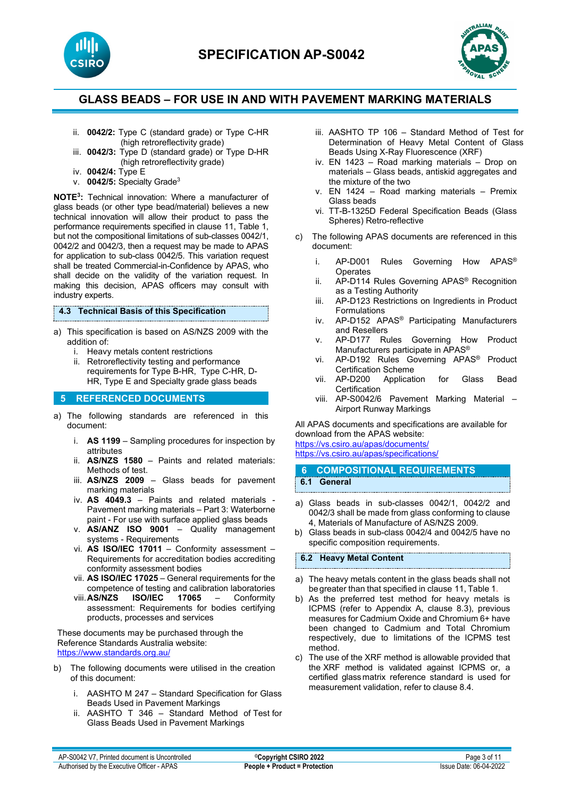



- ii. **0042/2:** Type C (standard grade) or Type C-HR (high retroreflectivity grade)
- iii. **0042/3:** Type D (standard grade) or Type D-HR (high retroreflectivity grade)
- iv. **0042/4:** Type E
- v. **0042/5:** Specialty Grade3

**NOTE3:** Technical innovation: Where a manufacturer of glass beads (or other type bead/material) believes a new technical innovation will allow their product to pass the performance requirements specified in clause 11, Table 1, but not the compositional limitations of sub-classes 0042/1, 0042/2 and 0042/3, then a request may be made to APAS for application to sub-class 0042/5. This variation request shall be treated Commercial-in-Confidence by APAS, who shall decide on the validity of the variation request. In making this decision, APAS officers may consult with industry experts.

#### **4.3 Technical Basis of this Specification**

- a) This specification is based on AS/NZS 2009 with the addition of:
	- i. Heavy metals content restrictions
	- ii. Retroreflectivity testing and performance requirements for Type B-HR, Type C-HR, D-HR, Type E and Specialty grade glass beads

#### **5 REFERENCED DOCUMENTS**

- a) The following standards are referenced in this document:
	- i. **AS 1199** Sampling procedures for inspection by attributes
	- ii. **AS/NZS 1580** Paints and related materials: Methods of test.
	- iii. **AS/NZS 2009** [Glass beads](https://www.saiglobal.com/online/Script/Details.asp?DocN=AS0733764320AT) for pavement marking materials
	- iv. **AS 4049.3** [Paints and related materials](https://www.saiglobal.com/online/Script/Details.asp?DocN=AS0733764320AT)  [Pavement marking materials – Part 3: Waterborne](https://www.saiglobal.com/online/Script/Details.asp?DocN=AS0733764320AT)  [paint - For use with surface applied glass beads](https://www.saiglobal.com/online/Script/Details.asp?DocN=AS0733764320AT)
	- v. **AS/ANZ ISO 9001** Quality management systems - Requirements
	- vi. **AS ISO/IEC 17011** Conformity assessment Requirements for accreditation bodies accrediting conformity assessment bodies
	- vii. **AS ISO/IEC 17025** General requirements for the competence of testing and calibration laboratories<br> **AS/NZS** ISO/IEC 17065 - Conformity
	- viii. AS/NZS assessment: Requirements for bodies certifying products, processes and services

These documents may be purchased through the Reference Standards Australia website: <https://www.standards.org.au/>

- b) The following documents were utilised in the creation of this document:
	- i. AASHTO M 247 Standard Specification for Glass Beads Used in Pavement Markings
	- ii. AASHTO T 346 Standard Method of Test for Glass Beads Used in Pavement Markings
- iii. AASHTO TP 106 Standard Method of Test for Determination of Heavy Metal Content of Glass Beads Using X-Ray Fluorescence (XRF)
- iv. EN 1423 Road marking materials Drop on materials – Glass beads, antiskid aggregates and the mixture of the two
- v. EN 1424 Road marking materials Premix Glass beads
- vi. TT-B-1325D Federal Specification Beads (Glass Spheres) Retro-reflective
- c) The following APAS documents are referenced in this document:
	- i. AP-D001 Rules Governing How APAS® **Operates**
	- ii. AP-D114 Rules Governing APAS® Recognition as a Testing Authority
	- iii. AP-D123 Restrictions on Ingredients in Product Formulations
	- iv. AP-D152 APAS® Participating Manufacturers and Resellers
	- v. AP-D177 Rules Governing How Product Manufacturers participate in APAS®
	- vi. AP-D192 Rules Governing APAS® Product Certification Scheme<br>AP-D200 Application
	- vii. AP-D200 Application for Glass Bead **Certification**
	- viii. AP-S0042/6 Pavement Marking Material Airport Runway Markings

All APAS documents and specifications are available for download from the APAS website: <https://vs.csiro.au/apas/documents/> https://vs.csiro.au/apas/specifications/

- **6 COMPOSITIONAL REQUIREMENTS 6.1 General**
- a) Glass beads in sub-classes 0042/1, 0042/2 and 0042/3 shall be made from glass conforming to clause 4, Materials of Manufacture of AS/NZS 2009.
- b) Glass beads in sub-class 0042/4 and 0042/5 have no specific composition requirements.

#### **6.2 Heavy Metal Content**

- a) The heavy metals content in the glass beads shall not be greater than that specified in clause 11, Table 1.
- b) As the preferred test method for heavy metals is ICPMS (refer to Appendix A, clause 8.3), previous measures for Cadmium Oxide and Chromium 6+ have been changed to Cadmium and Total Chromium respectively, due to limitations of the ICPMS test method.
- c) The use of the XRF method is allowable provided that the XRF method is validated against ICPMS or, a certified glass matrix reference standard is used for measurement validation, refer to clause 8.4.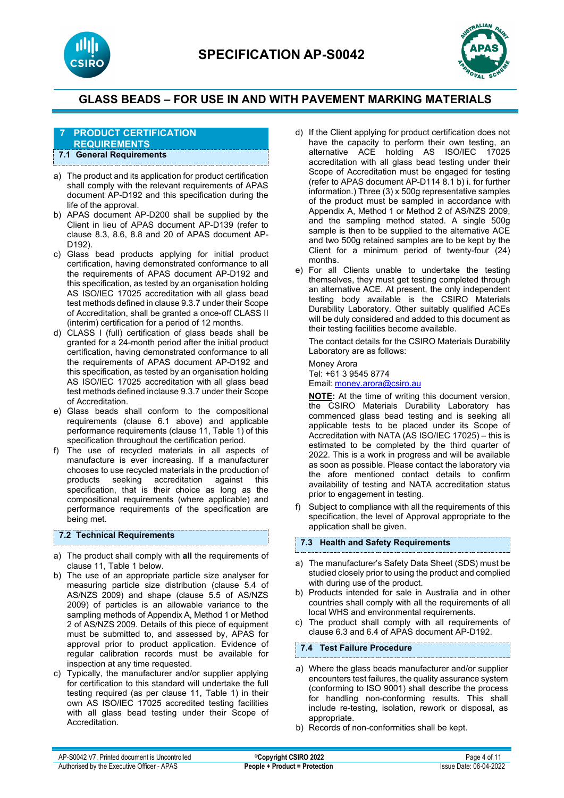



#### **7 PRODUCT CERTIFICATION REQUIREMENTS 7.1 General Requirements**

- a) The product and its application for product certification shall comply with the relevant requirements of APAS document AP-D192 and this specification during the life of the approval.
- b) APAS document AP-D200 shall be supplied by the Client in lieu of APAS document AP-D139 (refer to clause 8.3, 8.6, 8.8 and 20 of APAS document AP-D192).
- c) Glass bead products applying for initial product certification, having demonstrated conformance to all the requirements of APAS document AP-D192 and this specification, as tested by an organisation holding AS ISO/IEC 17025 accreditation with all glass bead test methods defined in clause 9.3.7 under their Scope of Accreditation, shall be granted a once-off CLASS II (interim) certification for a period of 12 months.
- d) CLASS I (full) certification of glass beads shall be granted for a 24-month period after the initial product certification, having demonstrated conformance to all the requirements of APAS document AP-D192 and this specification, as tested by an organisation holding AS ISO/IEC 17025 accreditation with all glass bead test methods defined inclause 9.3.7 under their Scope of Accreditation.
- e) Glass beads shall conform to the compositional requirements (clause 6.1 above) and applicable performance requirements (clause 11, Table 1) of this specification throughout the certification period.
- f) The use of recycled materials in all aspects of manufacture is ever increasing. If a manufacturer chooses to use recycled materials in the production of products seeking accreditation against this specification, that is their choice as long as the compositional requirements (where applicable) and performance requirements of the specification are being met.

### **7.2 Technical Requirements**

- a) The product shall comply with **all** the requirements of clause 11, Table 1 below.
- b) The use of an appropriate particle size analyser for measuring particle size distribution (clause 5.4 of AS/NZS 2009) and shape (clause 5.5 of AS/NZS 2009) of particles is an allowable variance to the sampling methods of Appendix A, Method 1 or Method 2 of AS/NZS 2009. Details of this piece of equipment must be submitted to, and assessed by, APAS for approval prior to product application. Evidence of regular calibration records must be available for inspection at any time requested.
- c) Typically, the manufacturer and/or supplier applying for certification to this standard will undertake the full testing required (as per clause 11, Table 1) in their own AS ISO/IEC 17025 accredited testing facilities with all glass bead testing under their Scope of Accreditation.
- d) If the Client applying for product certification does not have the capacity to perform their own testing, an alternative ACE holding AS ISO/IEC 17025 accreditation with all glass bead testing under their Scope of Accreditation must be engaged for testing (refer to APAS document AP-D114 8.1 b) i. for further information.) Three (3) x 500g representative samples of the product must be sampled in accordance with Appendix A, Method 1 or Method 2 of AS/NZS 2009, and the sampling method stated. A single 500g sample is then to be supplied to the alternative ACE and two 500g retained samples are to be kept by the Client for a minimum period of twenty-four (24) months.
- e) For all Clients unable to undertake the testing themselves, they must get testing completed through an alternative ACE. At present, the only independent testing body available is the CSIRO Materials Durability Laboratory. Other suitably qualified ACEs will be duly considered and added to this document as their testing facilities become available.

The contact details for the CSIRO Materials Durability Laboratory are as follows:

Money Arora Tel: +61 3 9545 8774 Email[: money.arora@csiro.au](mailto:money.arora@csiro.au) 

**NOTE:** At the time of writing this document version, the CSIRO Materials Durability Laboratory has commenced glass bead testing and is seeking all applicable tests to be placed under its Scope of Accreditation with NATA (AS ISO/IEC 17025) – this is estimated to be completed by the third quarter of 2022. This is a work in progress and will be available as soon as possible. Please contact the laboratory via the afore mentioned contact details to confirm availability of testing and NATA accreditation status prior to engagement in testing.

f) Subject to compliance with all the requirements of this specification, the level of Approval appropriate to the application shall be given.

#### **7.3 Health and Safety Requirements**

- a) The manufacturer's Safety Data Sheet (SDS) must be studied closely prior to using the product and complied with during use of the product.
- b) Products intended for sale in Australia and in other countries shall comply with all the requirements of all local WHS and environmental requirements.
- c) The product shall comply with all requirements of clause 6.3 and 6.4 of APAS document AP-D192.

# **7.4 Test Failure Procedure**

- a) Where the glass beads manufacturer and/or supplier encounters test failures, the quality assurance system (conforming to ISO 9001) shall describe the process for handling non-conforming results. This shall include re-testing, isolation, rework or disposal, as appropriate.
- b) Records of non-conformities shall be kept.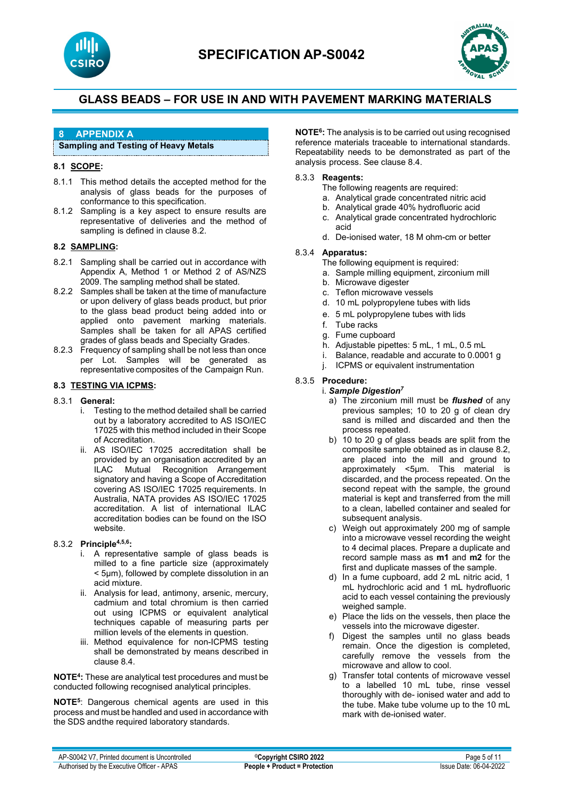



# **8 APPENDIX A**

### **Sampling and Testing of Heavy Metals**

### **8.1 SCOPE:**

- 8.1.1 This method details the accepted method for the analysis of glass beads for the purposes of conformance to this specification.
- 8.1.2 Sampling is a key aspect to ensure results are representative of deliveries and the method of sampling is defined in clause 8.2.

### **8.2 SAMPLING:**

- 8.2.1 Sampling shall be carried out in accordance with Appendix A, Method 1 or Method 2 of AS/NZS 2009. The sampling method shall be stated.
- 8.2.2 Samples shall be taken at the time of manufacture or upon delivery of glass beads product, but prior to the glass bead product being added into or applied onto pavement marking materials. Samples shall be taken for all APAS certified grades of glass beads and Specialty Grades.
- 8.2.3 Frequency of sampling shall be not less than once per Lot. Samples will be generated as representative composites of the Campaign Run.

#### **8.3 TESTING VIA ICPMS:**

#### 8.3.1 **General:**

- i. Testing to the method detailed shall be carried out by a laboratory accredited to AS ISO/IEC 17025 with this method included in their Scope of Accreditation.
- ii. AS ISO/IEC 17025 accreditation shall be provided by an organisation accredited by an<br>ILAC Mutual Recognition Arrangement Mutual Recognition Arrangement signatory and having a Scope of Accreditation covering AS ISO/IEC 17025 requirements. In Australia, NATA provides AS ISO/IEC 17025 accreditation. A list of international ILAC accreditation bodies can be found on the ISO website.

### 8.3.2 **Principle4,5,6:**

- i. A representative sample of glass beads is milled to a fine particle size (approximately < 5µm), followed by complete dissolution in an acid mixture.
- ii. Analysis for lead, antimony, arsenic, mercury, cadmium and total chromium is then carried out using ICPMS or equivalent analytical techniques capable of measuring parts per million levels of the elements in question.
- iii. Method equivalence for non-ICPMS testing shall be demonstrated by means described in clause 8.4.

**NOTE4:** These are analytical test procedures and must be conducted following recognised analytical principles.

**NOTE5**: Dangerous chemical agents are used in this process and must be handled and used in accordance with the SDS andthe required laboratory standards.

**NOTE6:** The analysis is to be carried out using recognised reference materials traceable to international standards. Repeatability needs to be demonstrated as part of the analysis process. See clause 8.4.

#### 8.3.3 **Reagents:**

The following reagents are required:

- a. Analytical grade concentrated nitric acid
- b. Analytical grade 40% hydrofluoric acid
- c. Analytical grade concentrated hydrochloric acid
- d. De-ionised water, 18 M ohm-cm or better

#### 8.3.4 **Apparatus:**

- The following equipment is required:
	- a. Sample milling equipment, zirconium mill
	- b. Microwave digester
	- c. Teflon microwave vessels
	- d. 10 mL polypropylene tubes with lids
	- e. 5 mL polypropylene tubes with lids
	- f. Tube racks
	- g. Fume cupboard
	- h. Adjustable pipettes: 5 mL, 1 mL, 0.5 mL
- i. Balance, readable and accurate to 0.0001 g
- j. ICPMS or equivalent instrumentation

### 8.3.5 **Procedure:**

- i. *Sample Digestion7* a) The zirconium mill must be *flushed* of any previous samples; 10 to 20 g of clean dry sand is milled and discarded and then the process repeated.
	- b) 10 to 20 g of glass beads are split from the composite sample obtained as in clause 8.2, are placed into the mill and ground to approximately <5µm. This material is discarded, and the process repeated. On the second repeat with the sample, the ground material is kept and transferred from the mill to a clean, labelled container and sealed for subsequent analysis.
	- c) Weigh out approximately 200 mg of sample into a microwave vessel recording the weight to 4 decimal places. Prepare a duplicate and record sample mass as **m1** and **m2** for the first and duplicate masses of the sample.
	- d) In a fume cupboard, add 2 mL nitric acid, 1 mL hydrochloric acid and 1 mL hydrofluoric acid to each vessel containing the previously weighed sample.
	- e) Place the lids on the vessels, then place the vessels into the microwave digester.
	- f) Digest the samples until no glass beads remain. Once the digestion is completed, carefully remove the vessels from the microwave and allow to cool.
	- g) Transfer total contents of microwave vessel to a labelled 10 mL tube, rinse vessel thoroughly with de- ionised water and add to the tube. Make tube volume up to the 10 mL mark with de-ionised water.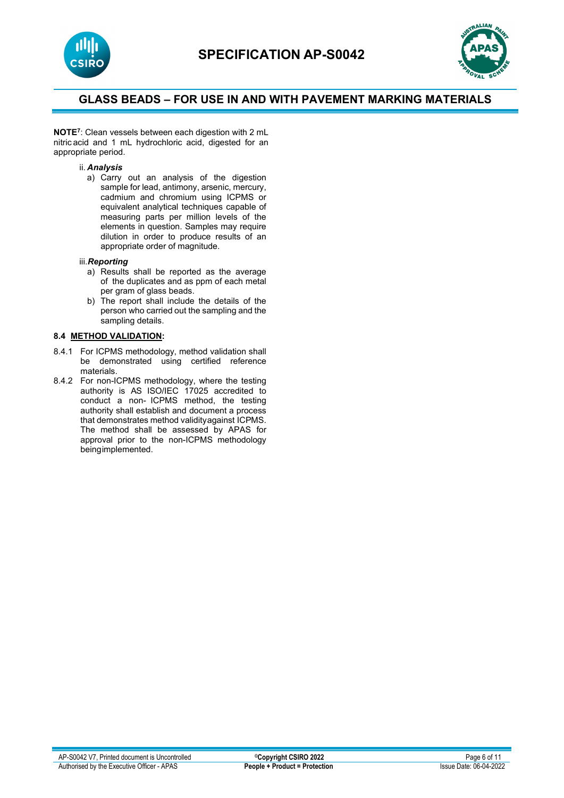



**NOTE7**: Clean vessels between each digestion with 2 mL nitric acid and 1 mL hydrochloric acid, digested for an appropriate period.

#### ii. *Analysis*

a) Carry out an analysis of the digestion sample for lead, antimony, arsenic, mercury, cadmium and chromium using ICPMS or equivalent analytical techniques capable of measuring parts per million levels of the elements in question. Samples may require dilution in order to produce results of an appropriate order of magnitude.

#### iii.*Reporting*

- a) Results shall be reported as the average of the duplicates and as ppm of each metal per gram of glass beads.
- b) The report shall include the details of the person who carried out the sampling and the sampling details.

### **8.4 METHOD VALIDATION:**

- 8.4.1 For ICPMS methodology, method validation shall be demonstrated using certified reference materials.
- 8.4.2 For non-ICPMS methodology, where the testing authority is AS ISO/IEC 17025 accredited to conduct a non- ICPMS method, the testing authority shall establish and document a process that demonstrates method validityagainst ICPMS. The method shall be assessed by APAS for approval prior to the non-ICPMS methodology beingimplemented.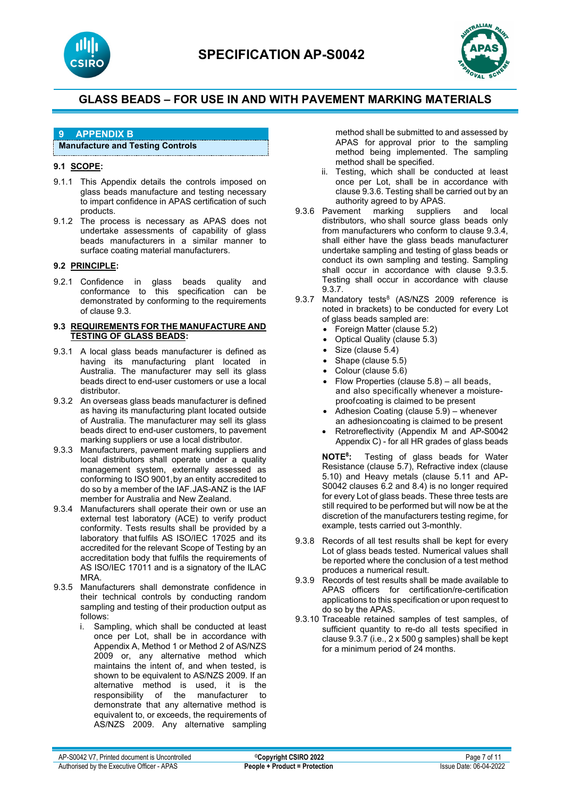



# **9 APPENDIX B**

### **Manufacture and Testing Controls**

# **9.1 SCOPE:**

- 9.1.1 This Appendix details the controls imposed on glass beads manufacture and testing necessary to impart confidence in APAS certification of such products.
- 9.1.2 The process is necessary as APAS does not undertake assessments of capability of glass beads manufacturers in a similar manner to surface coating material manufacturers.

### **9.2 PRINCIPLE:**

9.2.1 Confidence in glass beads quality and conformance to this specification can be demonstrated by conforming to the requirements of clause 9.3.

#### **9.3 REQUIREMENTS FOR THE MANUFACTURE AND TESTING OF GLASS BEADS:**

- 9.3.1 A local glass beads manufacturer is defined as having its manufacturing plant located in Australia. The manufacturer may sell its glass beads direct to end-user customers or use a local distributor.
- 9.3.2 An overseas glass beads manufacturer is defined as having its manufacturing plant located outside of Australia. The manufacturer may sell its glass beads direct to end-user customers, to pavement marking suppliers or use a local distributor.
- 9.3.3 Manufacturers, pavement marking suppliers and local distributors shall operate under a quality management system, externally assessed as conforming to ISO 9001,by an entity accredited to do so by a member of the IAF. JAS-ANZ is the IAF member for Australia and New Zealand.
- 9.3.4 Manufacturers shall operate their own or use an external test laboratory (ACE) to verify product conformity. Tests results shall be provided by a laboratory that fulfils AS ISO/IEC 17025 and its accredited for the relevant Scope of Testing by an accreditation body that fulfils the requirements of AS ISO/IEC 17011 and is a signatory of the ILAC MRA.
- 9.3.5 Manufacturers shall demonstrate confidence in their technical controls by conducting random sampling and testing of their production output as follows:
	- i. Sampling, which shall be conducted at least once per Lot, shall be in accordance with Appendix A, Method 1 or Method 2 of AS/NZS 2009 or, any alternative method which maintains the intent of, and when tested, is shown to be equivalent to AS/NZS 2009. If an alternative method is used, it is the responsibility of the manufacturer to demonstrate that any alternative method is equivalent to, or exceeds, the requirements of AS/NZS 2009. Any alternative sampling

method shall be submitted to and assessed by APAS for approval prior to the sampling method being implemented. The sampling method shall be specified.

- ii. Testing, which shall be conducted at least once per Lot, shall be in accordance with clause 9.3.6. Testing shall be carried out by an authority agreed to by APAS.
- 9.3.6 Pavement marking suppliers and local distributors, who shall source glass beads only from manufacturers who conform to clause 9.3.4, shall either have the glass beads manufacturer undertake sampling and testing of glass beads or conduct its own sampling and testing. Sampling shall occur in accordance with clause 9.3.5. Testing shall occur in accordance with clause 9.3.7.
- 9.3.7 Mandatory tests<sup>8</sup> (AS/NZS 2009 reference is noted in brackets) to be conducted for every Lot of glass beads sampled are:
	- Foreign Matter (clause 5.2)
	- Optical Quality (clause 5.3)
	- Size (clause 5.4)
	- Shape (clause 5.5)
	- Colour (clause 5.6)
	- Flow Properties (clause 5.8) all beads, and also specifically whenever a moistureproofcoating is claimed to be present
	- Adhesion Coating (clause 5.9) whenever an adhesioncoating is claimed to be present
	- Retroreflectivity (Appendix M and AP-S0042 Appendix C) - for all HR grades of glass beads

**NOTE8:** Testing of glass beads for Water Resistance (clause 5.7), Refractive index (clause 5.10) and Heavy metals (clause 5.11 and AP-S0042 clauses 6.2 and 8.4) is no longer required for every Lot of glass beads. These three tests are still required to be performed but will now be at the discretion of the manufacturers testing regime, for example, tests carried out 3-monthly.

- 9.3.8 Records of all test results shall be kept for every Lot of glass beads tested. Numerical values shall be reported where the conclusion of a test method produces a numerical result.
- 9.3.9 Records of test results shall be made available to APAS officers for certification/re-certification applications to this specification or upon request to do so by the APAS.
- 9.3.10 Traceable retained samples of test samples, of sufficient quantity to re-do all tests specified in clause 9.3.7 (i.e., 2 x 500 g samples) shall be kept for a minimum period of 24 months.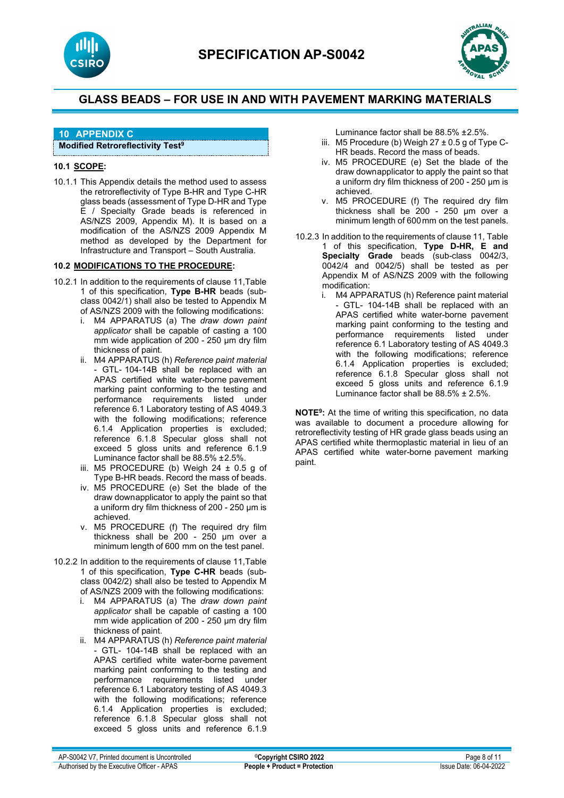



# **10 APPENDIX C**

### **Modified Retroreflectivity Test9**

### **10.1 SCOPE:**

10.1.1 This Appendix details the method used to assess the retroreflectivity of Type B-HR and Type C-HR glass beads (assessment of Type D-HR and Type E / Specialty Grade beads is referenced in AS/NZS 2009, Appendix M). It is based on a modification of the AS/NZS 2009 Appendix M method as developed by the Department for Infrastructure and Transport – South Australia.

### **10.2 MODIFICATIONS TO THE PROCEDURE:**

- 10.2.1 In addition to the requirements of clause 11,Table 1 of this specification, **Type B-HR** beads (subclass 0042/1) shall also be tested to Appendix M of AS/NZS 2009 with the following modifications:
	- i. M4 APPARATUS (a) The *draw down paint applicator* shall be capable of casting a 100 mm wide application of 200 - 250 µm dry film thickness of paint.
	- ii. M4 APPARATUS (h) *Reference paint material*  - GTL- 104-14B shall be replaced with an APAS certified white water-borne pavement marking paint conforming to the testing and performance requirements listed under reference 6.1 Laboratory testing of AS 4049.3 with the following modifications; reference 6.1.4 Application properties is excluded; reference 6.1.8 Specular gloss shall not exceed 5 gloss units and reference 6.1.9 Luminance factor shall be 88.5% ± 2.5%.
	- iii. M5 PROCEDURE (b) Weigh  $24 \pm 0.5$  g of Type B-HR beads. Record the mass of beads.
	- iv. M5 PROCEDURE (e) Set the blade of the draw downapplicator to apply the paint so that a uniform dry film thickness of 200 - 250 µm is achieved.
	- v. M5 PROCEDURE (f) The required dry film thickness shall be  $200 - 250$  µm over a minimum length of 600 mm on the test panel.
- 10.2.2 In addition to the requirements of clause 11,Table 1 of this specification, **Type C-HR** beads (subclass 0042/2) shall also be tested to Appendix M of AS/NZS 2009 with the following modifications:
	- i. M4 APPARATUS (a) The *draw down paint applicator* shall be capable of casting a 100 mm wide application of 200 - 250 µm dry film thickness of paint.
	- ii. M4 APPARATUS (h) *Reference paint material*  - GTL- 104-14B shall be replaced with an APAS certified white water-borne pavement marking paint conforming to the testing and performance requirements listed under reference 6.1 Laboratory testing of AS 4049.3 with the following modifications; reference 6.1.4 Application properties is excluded; reference 6.1.8 Specular gloss shall not exceed 5 gloss units and reference 6.1.9
- Luminance factor shall be 88.5% ± 2.5%.
- iii. M5 Procedure (b) Weigh  $27 \pm 0.5$  g of Type C-HR beads. Record the mass of beads.
- iv. M5 PROCEDURE (e) Set the blade of the draw downapplicator to apply the paint so that a uniform dry film thickness of 200 - 250 µm is achieved.
- v. M5 PROCEDURE (f) The required dry film thickness shall be 200 - 250 µm over a minimum length of 600 mm on the test panels.
- 10.2.3 In addition to the requirements of clause 11, Table 1 of this specification, **Type D-HR, E and Specialty Grade** beads (sub-class 0042/3, 0042/4 and 0042/5) shall be tested as per Appendix M of AS/NZS 2009 with the following modification:<br>i. M4 APPA
	- M4 APPARATUS (h) Reference paint material - GTL- 104-14B shall be replaced with an APAS certified white water-borne pavement marking paint conforming to the testing and performance requirements listed under reference 6.1 Laboratory testing of AS 4049.3 with the following modifications; reference 6.1.4 Application properties is excluded; reference 6.1.8 Specular gloss shall not exceed 5 gloss units and reference 6.1.9 Luminance factor shall be 88.5% ± 2.5%.

**NOTE9:** At the time of writing this specification, no data was available to document a procedure allowing for retroreflectivity testing of HR grade glass beads using an APAS certified white thermoplastic material in lieu of an APAS certified white water-borne pavement marking paint.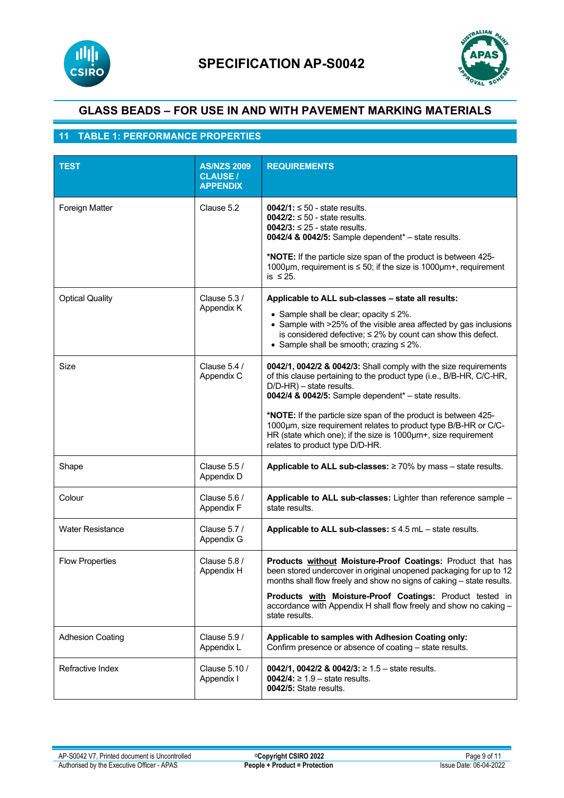



# **11 TABLE 1: PERFORMANCE PROPERTIES**

| <b>TEST</b>             | <b>AS/NZS 2009</b><br><b>CLAUSE /</b><br><b>APPENDIX</b> | <b>REQUIREMENTS</b>                                                                                                                                                                                                                                                                                                                                                                                                                                                    |
|-------------------------|----------------------------------------------------------|------------------------------------------------------------------------------------------------------------------------------------------------------------------------------------------------------------------------------------------------------------------------------------------------------------------------------------------------------------------------------------------------------------------------------------------------------------------------|
| Foreign Matter          | Clause 5.2                                               | $0042/1$ : $\leq 50$ - state results.<br>$0042/2$ : $\leq 50$ - state results.<br>$0042/3$ : $\leq 25$ - state results.<br>0042/4 & 0042/5: Sample dependent* - state results.<br>*NOTE: If the particle size span of the product is between 425-<br>1000 $\mu$ m, requirement is $\leq$ 50; if the size is 1000 $\mu$ m+, requirement<br>is $\leq$ 25.                                                                                                                |
| <b>Optical Quality</b>  | Clause 5.3 /<br>Appendix K                               | Applicable to ALL sub-classes - state all results:<br>• Sample shall be clear; opacity $\leq 2\%$ .<br>• Sample with >25% of the visible area affected by gas inclusions<br>is considered defective; $\leq 2\%$ by count can show this defect.<br>• Sample shall be smooth; crazing $\leq 2\%$ .                                                                                                                                                                       |
| Size                    | Clause 5.4 /<br>Appendix C                               | 0042/1, 0042/2 & 0042/3: Shall comply with the size requirements<br>of this clause pertaining to the product type (i.e., B/B-HR, C/C-HR,<br>D/D-HR) - state results.<br>0042/4 & 0042/5: Sample dependent* - state results.<br>*NOTE: If the particle size span of the product is between 425-<br>1000um, size requirement relates to product type B/B-HR or C/C-<br>HR (state which one); if the size is 1000µm+, size requirement<br>relates to product type D/D-HR. |
| Shape                   | Clause 5.5 /<br>Appendix D                               | Applicable to ALL sub-classes: $\geq 70\%$ by mass - state results.                                                                                                                                                                                                                                                                                                                                                                                                    |
| Colour                  | Clause 5.6 /<br>Appendix F                               | Applicable to ALL sub-classes: Lighter than reference sample -<br>state results.                                                                                                                                                                                                                                                                                                                                                                                       |
| <b>Water Resistance</b> | Clause 5.7 /<br>Appendix G                               | Applicable to ALL sub-classes: $\leq 4.5$ mL - state results.                                                                                                                                                                                                                                                                                                                                                                                                          |
| <b>Flow Properties</b>  | Clause 5.8 /<br>Appendix H                               | Products without Moisture-Proof Coatings: Product that has<br>been stored undercover in original unopened packaging for up to 12<br>months shall flow freely and show no signs of caking – state results.<br>Products with Moisture-Proof Coatings: Product tested in<br>accordance with Appendix H shall flow freely and show no caking -<br>state results.                                                                                                           |
| <b>Adhesion Coating</b> | Clause 5.9 /<br>Appendix L                               | Applicable to samples with Adhesion Coating only:<br>Confirm presence or absence of coating - state results.                                                                                                                                                                                                                                                                                                                                                           |
| Refractive Index        | Clause 5.10 /<br>Appendix I                              | 0042/1, 0042/2 & 0042/3: $\geq$ 1.5 - state results.<br>0042/4: ≥ 1.9 – state results.<br>0042/5: State results.                                                                                                                                                                                                                                                                                                                                                       |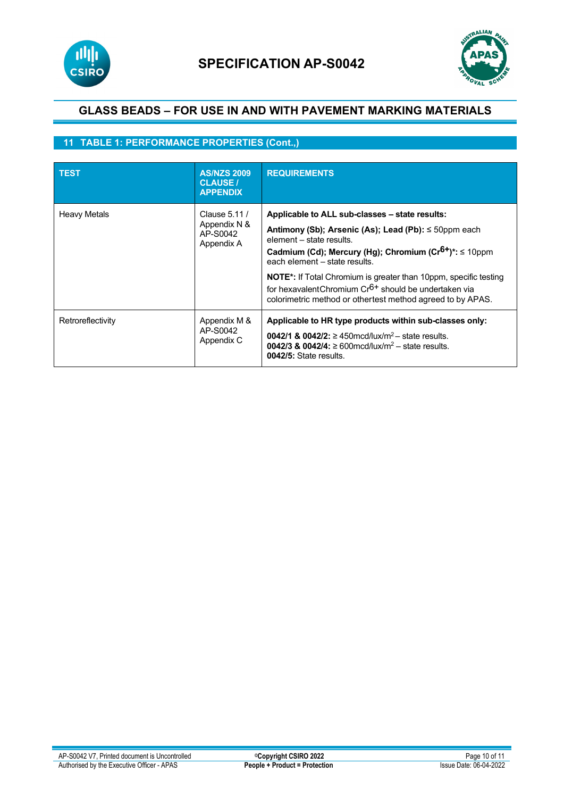



# **11 TABLE 1: PERFORMANCE PROPERTIES (Cont.,)**

| <b>TEST</b>         | <b>AS/NZS 2009</b><br><b>CLAUSE /</b><br><b>APPENDIX</b> | <b>REQUIREMENTS</b>                                                                                                                                                                                                                                                                                                                                                                                                                                 |
|---------------------|----------------------------------------------------------|-----------------------------------------------------------------------------------------------------------------------------------------------------------------------------------------------------------------------------------------------------------------------------------------------------------------------------------------------------------------------------------------------------------------------------------------------------|
| <b>Heavy Metals</b> | Clause 5.11 /<br>Appendix N &<br>AP-S0042<br>Appendix A  | Applicable to ALL sub-classes – state results:<br>Antimony (Sb); Arsenic (As); Lead (Pb): $\leq$ 50ppm each<br>element - state results.<br>Cadmium (Cd); Mercury (Hg); Chromium (Cr <sup>6+</sup> )*: ≤ 10ppm<br>each element – state results.<br><b>NOTE</b> *: If Total Chromium is greater than 10ppm, specific testing<br>for hexavalent Chromium $Cr6+$ should be undertaken via<br>colorimetric method or othertest method agreed to by APAS. |
| Retroreflectivity   | Appendix M &<br>AP-S0042<br>Appendix C                   | Applicable to HR type products within sub-classes only:<br><b>0042/1 &amp; 0042/2:</b> $\geq$ 450 mcd/lux/m <sup>2</sup> – state results.<br><b>0042/3 &amp; 0042/4:</b> $\geq$ 600 mcd/lux/m <sup>2</sup> – state results.<br>0042/5: State results.                                                                                                                                                                                               |